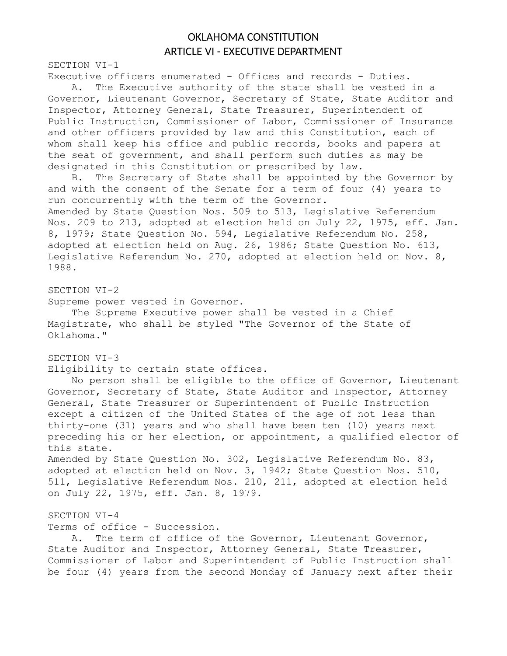# OKLAHOMA CONSTITUTION ARTICLE VI - EXECUTIVE DEPARTMENT

SECTION VI-1

Executive officers enumerated - Offices and records - Duties.

A. The Executive authority of the state shall be vested in a Governor, Lieutenant Governor, Secretary of State, State Auditor and Inspector, Attorney General, State Treasurer, Superintendent of Public Instruction, Commissioner of Labor, Commissioner of Insurance and other officers provided by law and this Constitution, each of whom shall keep his office and public records, books and papers at the seat of government, and shall perform such duties as may be designated in this Constitution or prescribed by law.

B. The Secretary of State shall be appointed by the Governor by and with the consent of the Senate for a term of four (4) years to run concurrently with the term of the Governor. Amended by State Question Nos. 509 to 513, Legislative Referendum Nos. 209 to 213, adopted at election held on July 22, 1975, eff. Jan. 8, 1979; State Question No. 594, Legislative Referendum No. 258, adopted at election held on Aug. 26, 1986; State Question No. 613, Legislative Referendum No. 270, adopted at election held on Nov. 8, 1988.

SECTION VI-2

Supreme power vested in Governor.

The Supreme Executive power shall be vested in a Chief Magistrate, who shall be styled "The Governor of the State of Oklahoma."

SECTION VI-3

Eligibility to certain state offices.

No person shall be eligible to the office of Governor, Lieutenant Governor, Secretary of State, State Auditor and Inspector, Attorney General, State Treasurer or Superintendent of Public Instruction except a citizen of the United States of the age of not less than thirty-one (31) years and who shall have been ten (10) years next preceding his or her election, or appointment, a qualified elector of this state.

Amended by State Question No. 302, Legislative Referendum No. 83, adopted at election held on Nov. 3, 1942; State Question Nos. 510, 511, Legislative Referendum Nos. 210, 211, adopted at election held on July 22, 1975, eff. Jan. 8, 1979.

## SECTION VI-4

Terms of office - Succession.

A. The term of office of the Governor, Lieutenant Governor, State Auditor and Inspector, Attorney General, State Treasurer, Commissioner of Labor and Superintendent of Public Instruction shall be four (4) years from the second Monday of January next after their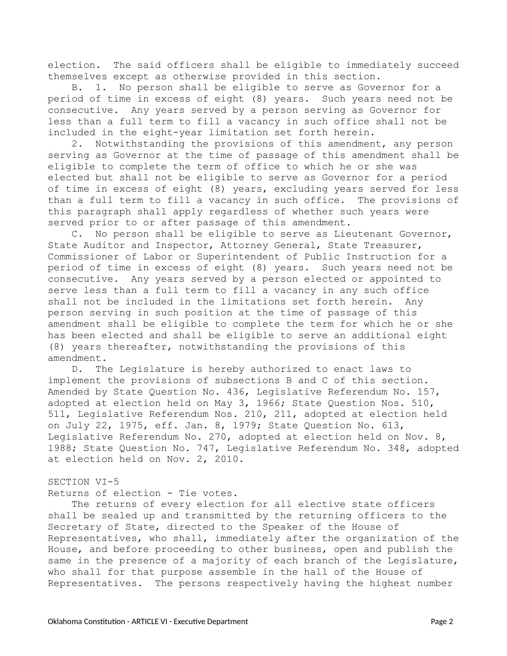election. The said officers shall be eligible to immediately succeed themselves except as otherwise provided in this section.

B. 1. No person shall be eligible to serve as Governor for a period of time in excess of eight (8) years. Such years need not be consecutive. Any years served by a person serving as Governor for less than a full term to fill a vacancy in such office shall not be included in the eight-year limitation set forth herein.

2. Notwithstanding the provisions of this amendment, any person serving as Governor at the time of passage of this amendment shall be eligible to complete the term of office to which he or she was elected but shall not be eligible to serve as Governor for a period of time in excess of eight (8) years, excluding years served for less than a full term to fill a vacancy in such office. The provisions of this paragraph shall apply regardless of whether such years were served prior to or after passage of this amendment.

C. No person shall be eligible to serve as Lieutenant Governor, State Auditor and Inspector, Attorney General, State Treasurer, Commissioner of Labor or Superintendent of Public Instruction for a period of time in excess of eight (8) years. Such years need not be consecutive. Any years served by a person elected or appointed to serve less than a full term to fill a vacancy in any such office shall not be included in the limitations set forth herein. Any person serving in such position at the time of passage of this amendment shall be eligible to complete the term for which he or she has been elected and shall be eligible to serve an additional eight (8) years thereafter, notwithstanding the provisions of this amendment.

D. The Legislature is hereby authorized to enact laws to implement the provisions of subsections B and C of this section. Amended by State Question No. 436, Legislative Referendum No. 157, adopted at election held on May 3, 1966; State Question Nos. 510, 511, Legislative Referendum Nos. 210, 211, adopted at election held on July 22, 1975, eff. Jan. 8, 1979; State Question No. 613, Legislative Referendum No. 270, adopted at election held on Nov. 8, 1988; State Question No. 747, Legislative Referendum No. 348, adopted at election held on Nov. 2, 2010.

#### SECTION VI-5

Returns of election - Tie votes.

The returns of every election for all elective state officers shall be sealed up and transmitted by the returning officers to the Secretary of State, directed to the Speaker of the House of Representatives, who shall, immediately after the organization of the House, and before proceeding to other business, open and publish the same in the presence of a majority of each branch of the Legislature, who shall for that purpose assemble in the hall of the House of Representatives. The persons respectively having the highest number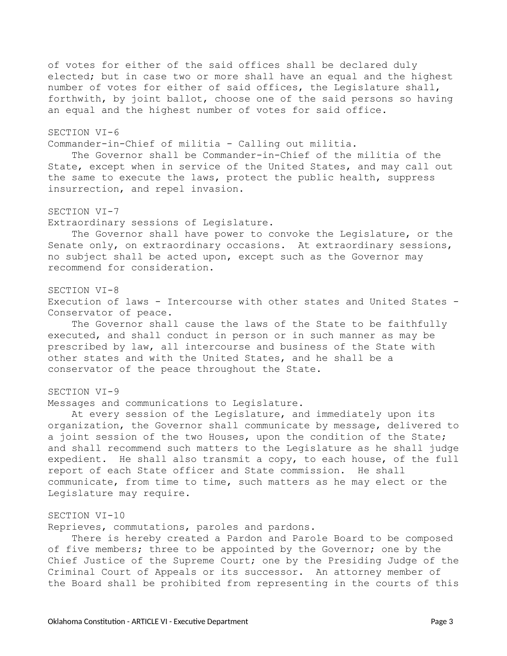of votes for either of the said offices shall be declared duly elected; but in case two or more shall have an equal and the highest number of votes for either of said offices, the Legislature shall, forthwith, by joint ballot, choose one of the said persons so having an equal and the highest number of votes for said office.

## SECTION VI-6

Commander-in-Chief of militia - Calling out militia.

The Governor shall be Commander-in-Chief of the militia of the State, except when in service of the United States, and may call out the same to execute the laws, protect the public health, suppress insurrection, and repel invasion.

#### SECTION VI-7

Extraordinary sessions of Legislature.

The Governor shall have power to convoke the Legislature, or the Senate only, on extraordinary occasions. At extraordinary sessions, no subject shall be acted upon, except such as the Governor may recommend for consideration.

SECTION VI-8

Execution of laws - Intercourse with other states and United States - Conservator of peace.

The Governor shall cause the laws of the State to be faithfully executed, and shall conduct in person or in such manner as may be prescribed by law, all intercourse and business of the State with other states and with the United States, and he shall be a conservator of the peace throughout the State.

## SECTION VI-9

Messages and communications to Legislature.

At every session of the Legislature, and immediately upon its organization, the Governor shall communicate by message, delivered to a joint session of the two Houses, upon the condition of the State; and shall recommend such matters to the Legislature as he shall judge expedient. He shall also transmit a copy, to each house, of the full report of each State officer and State commission. He shall communicate, from time to time, such matters as he may elect or the Legislature may require.

## SECTION VI-10

Reprieves, commutations, paroles and pardons.

There is hereby created a Pardon and Parole Board to be composed of five members; three to be appointed by the Governor; one by the Chief Justice of the Supreme Court; one by the Presiding Judge of the Criminal Court of Appeals or its successor. An attorney member of the Board shall be prohibited from representing in the courts of this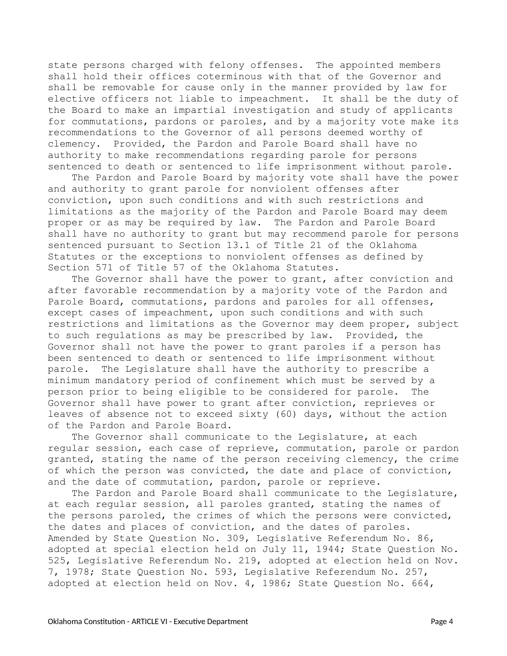state persons charged with felony offenses. The appointed members shall hold their offices coterminous with that of the Governor and shall be removable for cause only in the manner provided by law for elective officers not liable to impeachment. It shall be the duty of the Board to make an impartial investigation and study of applicants for commutations, pardons or paroles, and by a majority vote make its recommendations to the Governor of all persons deemed worthy of clemency. Provided, the Pardon and Parole Board shall have no authority to make recommendations regarding parole for persons sentenced to death or sentenced to life imprisonment without parole.

The Pardon and Parole Board by majority vote shall have the power and authority to grant parole for nonviolent offenses after conviction, upon such conditions and with such restrictions and limitations as the majority of the Pardon and Parole Board may deem proper or as may be required by law. The Pardon and Parole Board shall have no authority to grant but may recommend parole for persons sentenced pursuant to Section 13.1 of Title 21 of the Oklahoma Statutes or the exceptions to nonviolent offenses as defined by Section 571 of Title 57 of the Oklahoma Statutes.

The Governor shall have the power to grant, after conviction and after favorable recommendation by a majority vote of the Pardon and Parole Board, commutations, pardons and paroles for all offenses, except cases of impeachment, upon such conditions and with such restrictions and limitations as the Governor may deem proper, subject to such regulations as may be prescribed by law. Provided, the Governor shall not have the power to grant paroles if a person has been sentenced to death or sentenced to life imprisonment without parole. The Legislature shall have the authority to prescribe a minimum mandatory period of confinement which must be served by a person prior to being eligible to be considered for parole. The Governor shall have power to grant after conviction, reprieves or leaves of absence not to exceed sixty (60) days, without the action of the Pardon and Parole Board.

The Governor shall communicate to the Legislature, at each regular session, each case of reprieve, commutation, parole or pardon granted, stating the name of the person receiving clemency, the crime of which the person was convicted, the date and place of conviction, and the date of commutation, pardon, parole or reprieve.

The Pardon and Parole Board shall communicate to the Legislature, at each regular session, all paroles granted, stating the names of the persons paroled, the crimes of which the persons were convicted, the dates and places of conviction, and the dates of paroles. Amended by State Question No. 309, Legislative Referendum No. 86, adopted at special election held on July 11, 1944; State Question No. 525, Legislative Referendum No. 219, adopted at election held on Nov. 7, 1978; State Question No. 593, Legislative Referendum No. 257, adopted at election held on Nov. 4, 1986; State Question No. 664,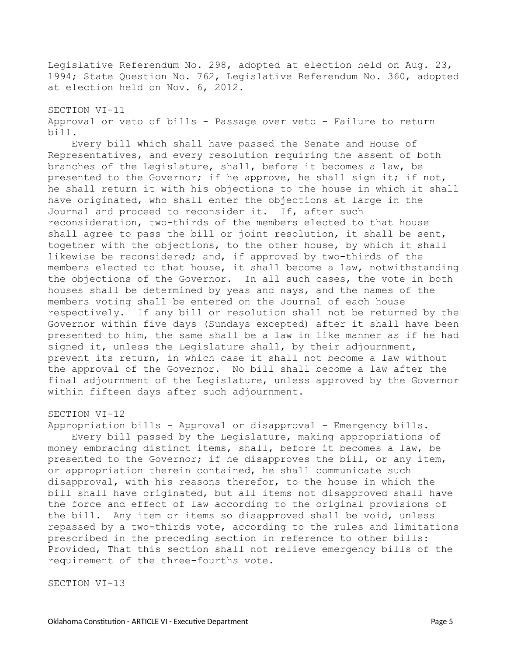Legislative Referendum No. 298, adopted at election held on Aug. 23, 1994; State Question No. 762, Legislative Referendum No. 360, adopted at election held on Nov. 6, 2012.

SECTION VI-11 Approval or veto of bills - Passage over veto - Failure to return bill.

Every bill which shall have passed the Senate and House of Representatives, and every resolution requiring the assent of both branches of the Legislature, shall, before it becomes a law, be presented to the Governor; if he approve, he shall sign it; if not, he shall return it with his objections to the house in which it shall have originated, who shall enter the objections at large in the Journal and proceed to reconsider it. If, after such reconsideration, two-thirds of the members elected to that house shall agree to pass the bill or joint resolution, it shall be sent, together with the objections, to the other house, by which it shall likewise be reconsidered; and, if approved by two-thirds of the members elected to that house, it shall become a law, notwithstanding the objections of the Governor. In all such cases, the vote in both houses shall be determined by yeas and nays, and the names of the members voting shall be entered on the Journal of each house respectively. If any bill or resolution shall not be returned by the Governor within five days (Sundays excepted) after it shall have been presented to him, the same shall be a law in like manner as if he had signed it, unless the Legislature shall, by their adjournment, prevent its return, in which case it shall not become a law without the approval of the Governor. No bill shall become a law after the final adjournment of the Legislature, unless approved by the Governor within fifteen days after such adjournment.

#### SECTION VI-12

Appropriation bills - Approval or disapproval - Emergency bills. Every bill passed by the Legislature, making appropriations of money embracing distinct items, shall, before it becomes a law, be presented to the Governor; if he disapproves the bill, or any item, or appropriation therein contained, he shall communicate such disapproval, with his reasons therefor, to the house in which the bill shall have originated, but all items not disapproved shall have the force and effect of law according to the original provisions of the bill. Any item or items so disapproved shall be void, unless repassed by a two-thirds vote, according to the rules and limitations prescribed in the preceding section in reference to other bills: Provided, That this section shall not relieve emergency bills of the requirement of the three-fourths vote.

SECTION VI-13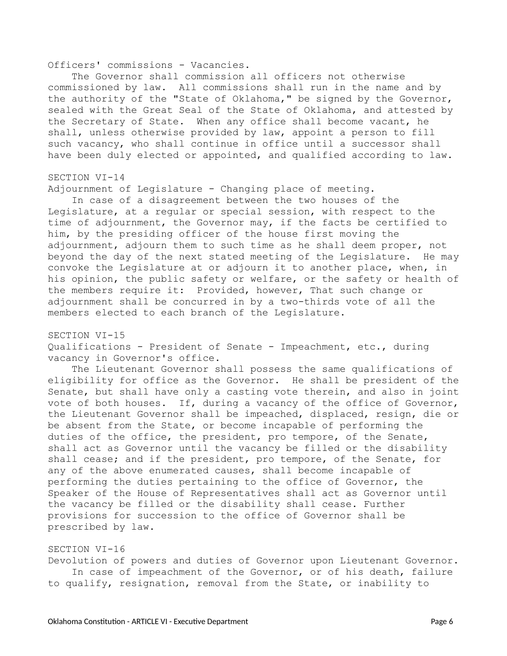Officers' commissions - Vacancies.

The Governor shall commission all officers not otherwise commissioned by law. All commissions shall run in the name and by the authority of the "State of Oklahoma," be signed by the Governor, sealed with the Great Seal of the State of Oklahoma, and attested by the Secretary of State. When any office shall become vacant, he shall, unless otherwise provided by law, appoint a person to fill such vacancy, who shall continue in office until a successor shall have been duly elected or appointed, and qualified according to law.

#### SECTION VI-14

Adjournment of Legislature - Changing place of meeting. In case of a disagreement between the two houses of the Legislature, at a regular or special session, with respect to the time of adjournment, the Governor may, if the facts be certified to him, by the presiding officer of the house first moving the adjournment, adjourn them to such time as he shall deem proper, not beyond the day of the next stated meeting of the Legislature. He may convoke the Legislature at or adjourn it to another place, when, in his opinion, the public safety or welfare, or the safety or health of the members require it: Provided, however, That such change or adjournment shall be concurred in by a two-thirds vote of all the members elected to each branch of the Legislature.

#### SECTION VI-15

Qualifications - President of Senate - Impeachment, etc., during vacancy in Governor's office.

The Lieutenant Governor shall possess the same qualifications of eligibility for office as the Governor. He shall be president of the Senate, but shall have only a casting vote therein, and also in joint vote of both houses. If, during a vacancy of the office of Governor, the Lieutenant Governor shall be impeached, displaced, resign, die or be absent from the State, or become incapable of performing the duties of the office, the president, pro tempore, of the Senate, shall act as Governor until the vacancy be filled or the disability shall cease; and if the president, pro tempore, of the Senate, for any of the above enumerated causes, shall become incapable of performing the duties pertaining to the office of Governor, the Speaker of the House of Representatives shall act as Governor until the vacancy be filled or the disability shall cease. Further provisions for succession to the office of Governor shall be prescribed by law.

#### SECTION VI-16

Devolution of powers and duties of Governor upon Lieutenant Governor. In case of impeachment of the Governor, or of his death, failure to qualify, resignation, removal from the State, or inability to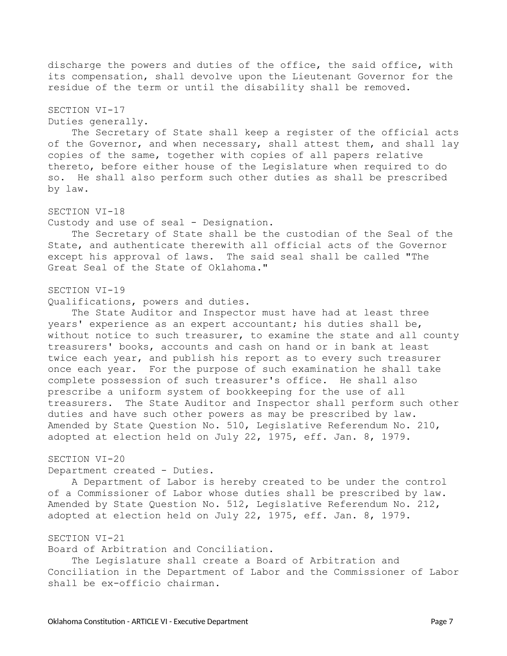discharge the powers and duties of the office, the said office, with its compensation, shall devolve upon the Lieutenant Governor for the residue of the term or until the disability shall be removed. SECTION VI-17 Duties generally. The Secretary of State shall keep a register of the official acts of the Governor, and when necessary, shall attest them, and shall lay copies of the same, together with copies of all papers relative thereto, before either house of the Legislature when required to do so. He shall also perform such other duties as shall be prescribed by law. SECTION VI-18 Custody and use of seal - Designation. The Secretary of State shall be the custodian of the Seal of the State, and authenticate therewith all official acts of the Governor except his approval of laws. The said seal shall be called "The Great Seal of the State of Oklahoma." SECTION VI-19 Qualifications, powers and duties. The State Auditor and Inspector must have had at least three years' experience as an expert accountant; his duties shall be, without notice to such treasurer, to examine the state and all county treasurers' books, accounts and cash on hand or in bank at least twice each year, and publish his report as to every such treasurer

once each year. For the purpose of such examination he shall take complete possession of such treasurer's office. He shall also prescribe a uniform system of bookkeeping for the use of all treasurers. The State Auditor and Inspector shall perform such other duties and have such other powers as may be prescribed by law. Amended by State Question No. 510, Legislative Referendum No. 210, adopted at election held on July 22, 1975, eff. Jan. 8, 1979.

#### SECTION VI-20

## Department created - Duties.

A Department of Labor is hereby created to be under the control of a Commissioner of Labor whose duties shall be prescribed by law. Amended by State Question No. 512, Legislative Referendum No. 212, adopted at election held on July 22, 1975, eff. Jan. 8, 1979.

## SECTION VI-21

Board of Arbitration and Conciliation.

The Legislature shall create a Board of Arbitration and Conciliation in the Department of Labor and the Commissioner of Labor shall be ex-officio chairman.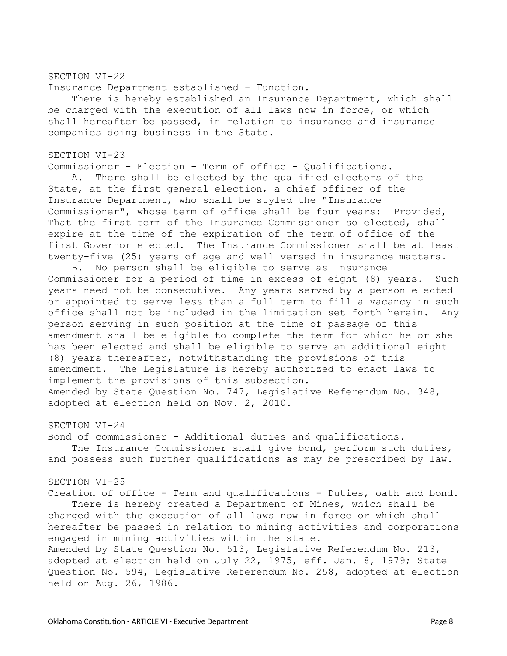# SECTION VI-22

Insurance Department established - Function.

There is hereby established an Insurance Department, which shall be charged with the execution of all laws now in force, or which shall hereafter be passed, in relation to insurance and insurance companies doing business in the State.

#### SECTION VI-23

Commissioner - Election - Term of office - Qualifications.

A. There shall be elected by the qualified electors of the State, at the first general election, a chief officer of the Insurance Department, who shall be styled the "Insurance Commissioner", whose term of office shall be four years: Provided, That the first term of the Insurance Commissioner so elected, shall expire at the time of the expiration of the term of office of the first Governor elected. The Insurance Commissioner shall be at least twenty-five (25) years of age and well versed in insurance matters.

B. No person shall be eligible to serve as Insurance Commissioner for a period of time in excess of eight (8) years. Such years need not be consecutive. Any years served by a person elected or appointed to serve less than a full term to fill a vacancy in such office shall not be included in the limitation set forth herein. Any person serving in such position at the time of passage of this amendment shall be eligible to complete the term for which he or she has been elected and shall be eligible to serve an additional eight (8) years thereafter, notwithstanding the provisions of this amendment. The Legislature is hereby authorized to enact laws to implement the provisions of this subsection. Amended by State Question No. 747, Legislative Referendum No. 348, adopted at election held on Nov. 2, 2010.

## SECTION VI-24

Bond of commissioner - Additional duties and qualifications. The Insurance Commissioner shall give bond, perform such duties, and possess such further qualifications as may be prescribed by law.

#### SECTION VI-25

Creation of office - Term and qualifications - Duties, oath and bond. There is hereby created a Department of Mines, which shall be charged with the execution of all laws now in force or which shall

hereafter be passed in relation to mining activities and corporations engaged in mining activities within the state. Amended by State Question No. 513, Legislative Referendum No. 213, adopted at election held on July 22, 1975, eff. Jan. 8, 1979; State Question No. 594, Legislative Referendum No. 258, adopted at election held on Aug. 26, 1986.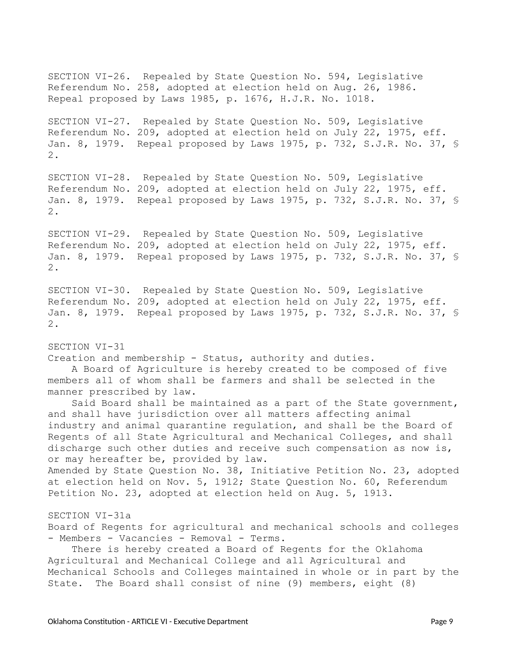SECTION VI-26. Repealed by State Question No. 594, Legislative Referendum No. 258, adopted at election held on Aug. 26, 1986. Repeal proposed by Laws 1985, p. 1676, H.J.R. No. 1018.

SECTION VI-27. Repealed by State Question No. 509, Legislative Referendum No. 209, adopted at election held on July 22, 1975, eff. Jan. 8, 1979. Repeal proposed by Laws 1975, p. 732, S.J.R. No. 37, § 2.

SECTION VI-28. Repealed by State Question No. 509, Legislative Referendum No. 209, adopted at election held on July 22, 1975, eff. Jan. 8, 1979. Repeal proposed by Laws 1975, p. 732, S.J.R. No. 37, § 2.

SECTION VI-29. Repealed by State Question No. 509, Legislative Referendum No. 209, adopted at election held on July 22, 1975, eff. Jan. 8, 1979. Repeal proposed by Laws 1975, p. 732, S.J.R. No. 37, § 2.

SECTION VI-30. Repealed by State Question No. 509, Legislative Referendum No. 209, adopted at election held on July 22, 1975, eff. Jan. 8, 1979. Repeal proposed by Laws 1975, p. 732, S.J.R. No. 37, § 2.

SECTION VI-31

Creation and membership - Status, authority and duties.

A Board of Agriculture is hereby created to be composed of five members all of whom shall be farmers and shall be selected in the manner prescribed by law.

Said Board shall be maintained as a part of the State government, and shall have jurisdiction over all matters affecting animal industry and animal quarantine regulation, and shall be the Board of Regents of all State Agricultural and Mechanical Colleges, and shall discharge such other duties and receive such compensation as now is, or may hereafter be, provided by law. Amended by State Question No. 38, Initiative Petition No. 23, adopted

at election held on Nov. 5, 1912; State Question No. 60, Referendum Petition No. 23, adopted at election held on Aug. 5, 1913.

## SECTION VI-31a

Board of Regents for agricultural and mechanical schools and colleges - Members - Vacancies - Removal - Terms.

There is hereby created a Board of Regents for the Oklahoma Agricultural and Mechanical College and all Agricultural and Mechanical Schools and Colleges maintained in whole or in part by the State. The Board shall consist of nine (9) members, eight (8)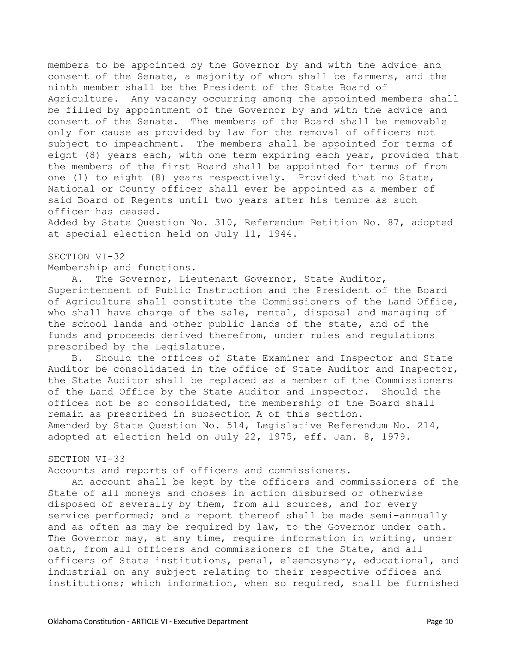members to be appointed by the Governor by and with the advice and consent of the Senate, a majority of whom shall be farmers, and the ninth member shall be the President of the State Board of Agriculture. Any vacancy occurring among the appointed members shall be filled by appointment of the Governor by and with the advice and consent of the Senate. The members of the Board shall be removable only for cause as provided by law for the removal of officers not subject to impeachment. The members shall be appointed for terms of eight (8) years each, with one term expiring each year, provided that the members of the first Board shall be appointed for terms of from one (1) to eight (8) years respectively. Provided that no State, National or County officer shall ever be appointed as a member of said Board of Regents until two years after his tenure as such officer has ceased.

Added by State Question No. 310, Referendum Petition No. 87, adopted at special election held on July 11, 1944.

#### SECTION VI-32

Membership and functions.

A. The Governor, Lieutenant Governor, State Auditor, Superintendent of Public Instruction and the President of the Board of Agriculture shall constitute the Commissioners of the Land Office, who shall have charge of the sale, rental, disposal and managing of the school lands and other public lands of the state, and of the funds and proceeds derived therefrom, under rules and regulations prescribed by the Legislature.

B. Should the offices of State Examiner and Inspector and State Auditor be consolidated in the office of State Auditor and Inspector, the State Auditor shall be replaced as a member of the Commissioners of the Land Office by the State Auditor and Inspector. Should the offices not be so consolidated, the membership of the Board shall remain as prescribed in subsection A of this section. Amended by State Question No. 514, Legislative Referendum No. 214, adopted at election held on July 22, 1975, eff. Jan. 8, 1979.

#### SECTION VI-33

Accounts and reports of officers and commissioners.

An account shall be kept by the officers and commissioners of the State of all moneys and choses in action disbursed or otherwise disposed of severally by them, from all sources, and for every service performed; and a report thereof shall be made semi-annually and as often as may be required by law, to the Governor under oath. The Governor may, at any time, require information in writing, under oath, from all officers and commissioners of the State, and all officers of State institutions, penal, eleemosynary, educational, and industrial on any subject relating to their respective offices and institutions; which information, when so required, shall be furnished